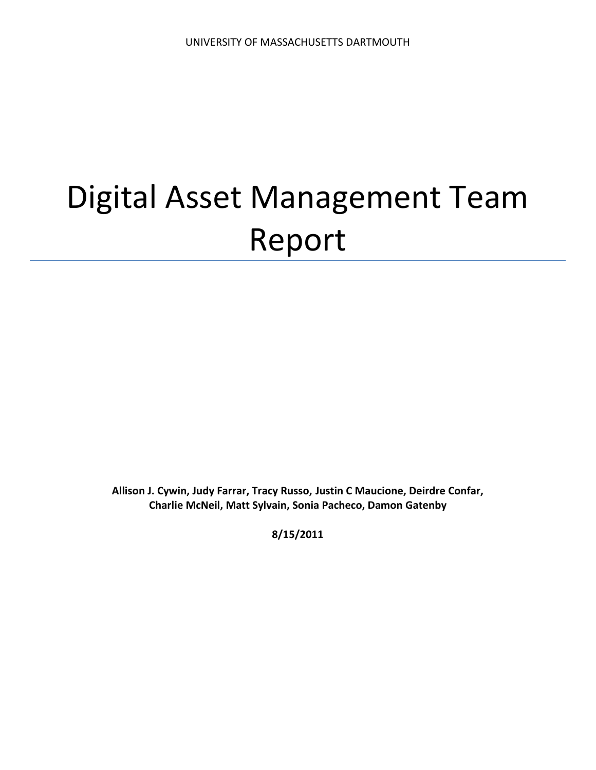# Digital Asset Management Team Report

**Allison J. Cywin, Judy Farrar, Tracy Russo, Justin C Maucione, Deirdre Confar, Charlie McNeil, Matt Sylvain, Sonia Pacheco, Damon Gatenby**

**8/15/2011**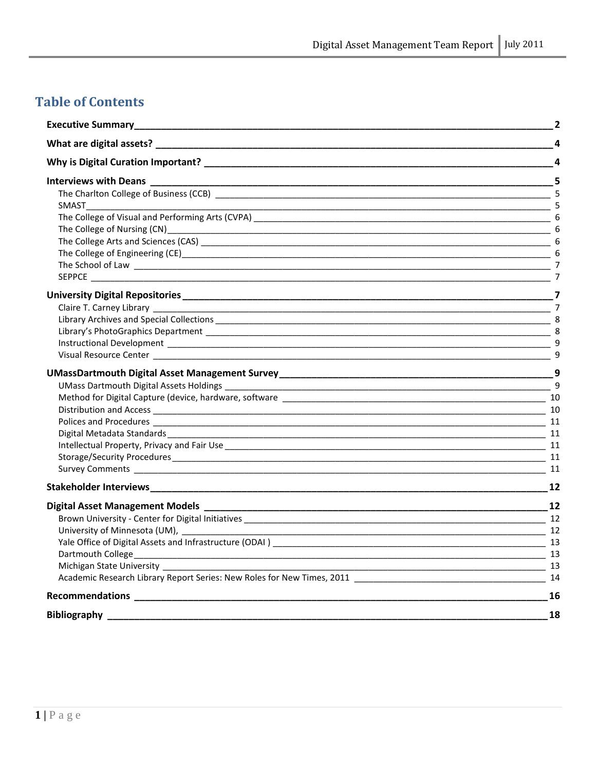# **Table of Contents**

| <b>Executive Summary_</b>                                                                                                                                                                                                      | $\overline{2}$          |
|--------------------------------------------------------------------------------------------------------------------------------------------------------------------------------------------------------------------------------|-------------------------|
| What are digital assets? Management of the state of the state of the state of the state of the state of the state of the state of the state of the state of the state of the state of the state of the state of the state of t | $\overline{\mathbf{4}}$ |
| Why is Digital Curation Important? The contract of the contract of the contract of the contract of the contract of the contract of the contract of the contract of the contract of the contract of the contract of the contrac | 4                       |
| Interviews with Deans _________                                                                                                                                                                                                |                         |
|                                                                                                                                                                                                                                |                         |
| <u>5</u><br>SMAST                                                                                                                                                                                                              |                         |
|                                                                                                                                                                                                                                |                         |
|                                                                                                                                                                                                                                |                         |
|                                                                                                                                                                                                                                |                         |
|                                                                                                                                                                                                                                |                         |
|                                                                                                                                                                                                                                |                         |
| <b>SEPPCE SEPPCE</b>                                                                                                                                                                                                           |                         |
|                                                                                                                                                                                                                                |                         |
|                                                                                                                                                                                                                                |                         |
|                                                                                                                                                                                                                                |                         |
|                                                                                                                                                                                                                                |                         |
|                                                                                                                                                                                                                                | q                       |
|                                                                                                                                                                                                                                | - 9                     |
|                                                                                                                                                                                                                                |                         |
|                                                                                                                                                                                                                                |                         |
|                                                                                                                                                                                                                                |                         |
|                                                                                                                                                                                                                                |                         |
|                                                                                                                                                                                                                                | $-11$                   |
|                                                                                                                                                                                                                                |                         |
|                                                                                                                                                                                                                                |                         |
|                                                                                                                                                                                                                                |                         |
|                                                                                                                                                                                                                                | 11                      |
|                                                                                                                                                                                                                                |                         |
|                                                                                                                                                                                                                                |                         |
|                                                                                                                                                                                                                                |                         |
| University of Minnesota (UM),<br>$\sim$ 12                                                                                                                                                                                     |                         |
|                                                                                                                                                                                                                                |                         |
|                                                                                                                                                                                                                                |                         |
|                                                                                                                                                                                                                                |                         |
|                                                                                                                                                                                                                                |                         |
|                                                                                                                                                                                                                                | 16                      |
|                                                                                                                                                                                                                                | 18                      |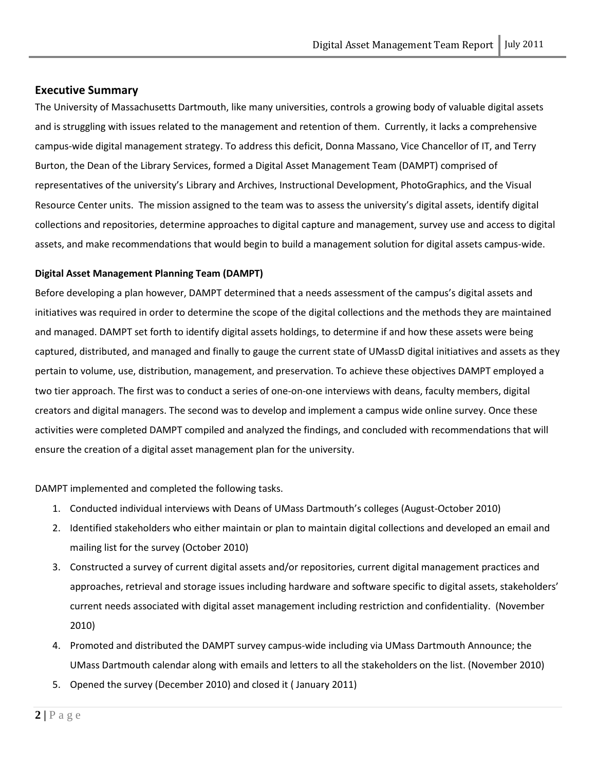#### <span id="page-2-0"></span>**Executive Summary**

The University of Massachusetts Dartmouth, like many universities, controls a growing body of valuable digital assets and is struggling with issues related to the management and retention of them. Currently, it lacks a comprehensive campus-wide digital management strategy. To address this deficit, Donna Massano, Vice Chancellor of IT, and Terry Burton, the Dean of the Library Services, formed a Digital Asset Management Team (DAMPT) comprised of representatives of the university's Library and Archives, Instructional Development, PhotoGraphics, and the Visual Resource Center units. The mission assigned to the team was to assess the university's digital assets, identify digital collections and repositories, determine approaches to digital capture and management, survey use and access to digital assets, and make recommendations that would begin to build a management solution for digital assets campus-wide.

#### **Digital Asset Management Planning Team (DAMPT)**

Before developing a plan however, DAMPT determined that a needs assessment of the campus's digital assets and initiatives was required in order to determine the scope of the digital collections and the methods they are maintained and managed. DAMPT set forth to identify digital assets holdings, to determine if and how these assets were being captured, distributed, and managed and finally to gauge the current state of UMassD digital initiatives and assets as they pertain to volume, use, distribution, management, and preservation. To achieve these objectives DAMPT employed a two tier approach. The first was to conduct a series of one-on-one interviews with deans, faculty members, digital creators and digital managers. The second was to develop and implement a campus wide online survey. Once these activities were completed DAMPT compiled and analyzed the findings, and concluded with recommendations that will ensure the creation of a digital asset management plan for the university.

DAMPT implemented and completed the following tasks.

- 1. Conducted individual interviews with Deans of UMass Dartmouth's colleges (August-October 2010)
- 2. Identified stakeholders who either maintain or plan to maintain digital collections and developed an email and mailing list for the survey (October 2010)
- 3. Constructed a survey of current digital assets and/or repositories, current digital management practices and approaches, retrieval and storage issues including hardware and software specific to digital assets, stakeholders' current needs associated with digital asset management including restriction and confidentiality. (November 2010)
- 4. Promoted and distributed the DAMPT survey campus-wide including via UMass Dartmouth Announce; the UMass Dartmouth calendar along with emails and letters to all the stakeholders on the list. (November 2010)
- 5. Opened the survey (December 2010) and closed it ( January 2011)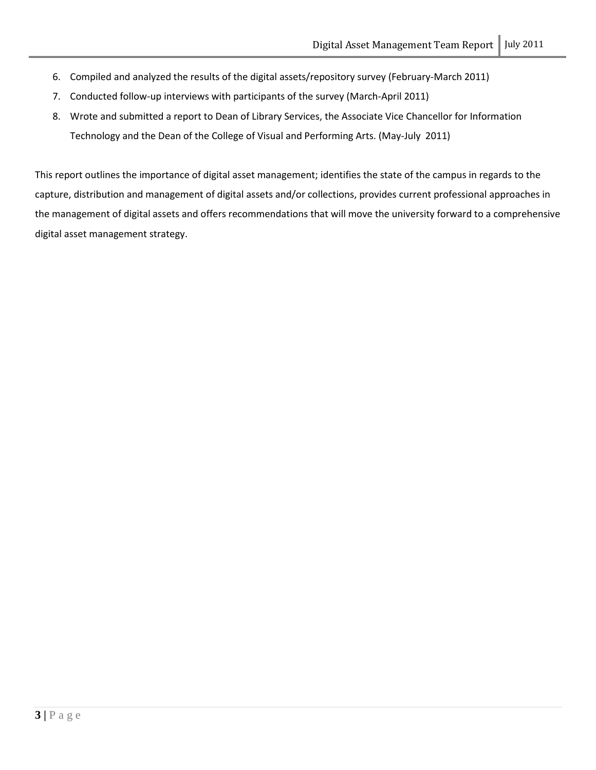- 6. Compiled and analyzed the results of the digital assets/repository survey (February-March 2011)
- 7. Conducted follow-up interviews with participants of the survey (March-April 2011)
- 8. Wrote and submitted a report to Dean of Library Services, the Associate Vice Chancellor for Information Technology and the Dean of the College of Visual and Performing Arts. (May-July 2011)

This report outlines the importance of digital asset management; identifies the state of the campus in regards to the capture, distribution and management of digital assets and/or collections, provides current professional approaches in the management of digital assets and offers recommendations that will move the university forward to a comprehensive digital asset management strategy.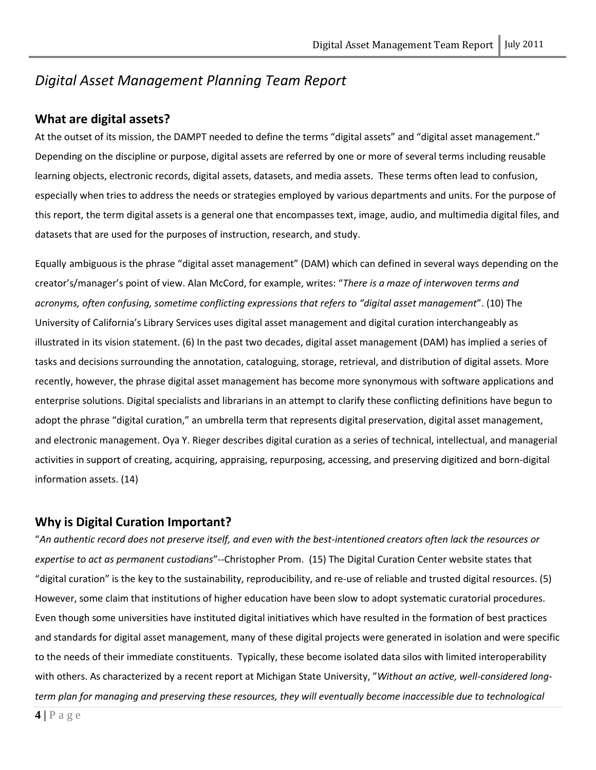# *Digital Asset Management Planning Team Report*

# <span id="page-4-0"></span>**What are digital assets?**

At the outset of its mission, the DAMPT needed to define the terms "digital assets" and "digital asset management." Depending on the discipline or purpose, digital assets are referred by one or more of several terms including reusable learning objects, electronic records, digital assets, datasets, and media assets. These terms often lead to confusion, especially when tries to address the needs or strategies employed by various departments and units. For the purpose of this report, the term digital assets is a general one that encompasses text, image, audio, and multimedia digital files, and datasets that are used for the purposes of instruction, research, and study.

Equally ambiguous is the phrase "digital asset management" (DAM) which can defined in several ways depending on the creator's/manager's point of view. Alan McCord, for example, writes: "*There is a maze of interwoven terms and acronyms, often confusing, sometime conflicting expressions that refers to "digital asset management*". (10) The University of California's Library Services uses digital asset management and digital curation interchangeably as illustrated in its vision statement. (6) In the past two decades, digital asset management (DAM) has implied a series of tasks and decisions surrounding the annotation, cataloguing, storage, retrieval, and distribution of digital assets. More recently, however, the phrase digital asset management has become more synonymous with software applications and enterprise solutions. Digital specialists and librarians in an attempt to clarify these conflicting definitions have begun to adopt the phrase "digital curation," an umbrella term that represents digital preservation, digital asset management, and electronic management. Oya Y. Rieger describes digital curation as a series of technical, intellectual, and managerial activities in support of creating, acquiring, appraising, repurposing, accessing, and preserving digitized and born-digital information assets. (14)

## <span id="page-4-1"></span>**Why is Digital Curation Important?**

"*An authentic record does not preserve itself, and even with the best-intentioned creators often lack the resources or expertise to act as permanent custodians*"--Christopher Prom. (15) The Digital Curation Center website states that "digital curation" is the key to the sustainability, reproducibility, and re-use of reliable and trusted digital resources. (5) However, some claim that institutions of higher education have been slow to adopt systematic curatorial procedures. Even though some universities have instituted digital initiatives which have resulted in the formation of best practices and standards for digital asset management, many of these digital projects were generated in isolation and were specific to the needs of their immediate constituents. Typically, these become isolated data silos with limited interoperability with others. As characterized by a recent report at Michigan State University, "*Without an active, well-considered longterm plan for managing and preserving these resources, they will eventually become inaccessible due to technological*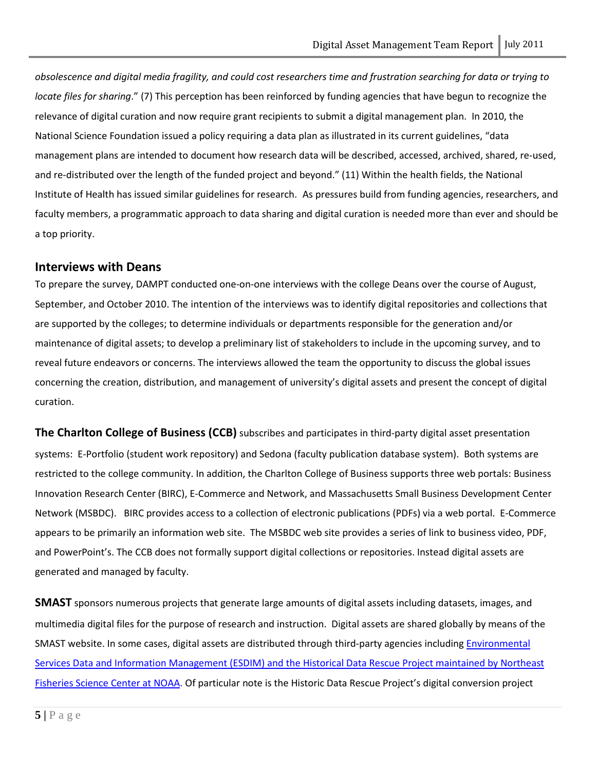*obsolescence and digital media fragility, and could cost researchers time and frustration searching for data or trying to locate files for sharing*." (7) This perception has been reinforced by funding agencies that have begun to recognize the relevance of digital curation and now require grant recipients to submit a digital management plan. In 2010, the National Science Foundation issued a policy requiring a data plan as illustrated in its current guidelines, "data management plans are intended to document how research data will be described, accessed, archived, shared, re-used, and re-distributed over the length of the funded project and beyond." (11) Within the health fields, the National Institute of Health has issued similar guidelines for research. As pressures build from funding agencies, researchers, and faculty members, a programmatic approach to data sharing and digital curation is needed more than ever and should be a top priority.

#### <span id="page-5-0"></span>**Interviews with Deans**

To prepare the survey, DAMPT conducted one-on-one interviews with the college Deans over the course of August, September, and October 2010. The intention of the interviews was to identify digital repositories and collections that are supported by the colleges; to determine individuals or departments responsible for the generation and/or maintenance of digital assets; to develop a preliminary list of stakeholders to include in the upcoming survey, and to reveal future endeavors or concerns. The interviews allowed the team the opportunity to discuss the global issues concerning the creation, distribution, and management of university's digital assets and present the concept of digital curation.

<span id="page-5-1"></span>**The Charlton College of Business (CCB)** subscribes and participates in third-party digital asset presentation systems: E-Portfolio (student work repository) and Sedona (faculty publication database system). Both systems are restricted to the college community. In addition, the Charlton College of Business supports three web portals: Business Innovation Research Center (BIRC), E-Commerce and Network, and Massachusetts Small Business Development Center Network (MSBDC). BIRC provides access to a collection of electronic publications (PDFs) via a web portal. E-Commerce appears to be primarily an information web site. The MSBDC web site provides a series of link to business video, PDF, and PowerPoint's. The CCB does not formally support digital collections or repositories. Instead digital assets are generated and managed by faculty.

<span id="page-5-2"></span>**SMAST** sponsors numerous projects that generate large amounts of digital assets including datasets, images, and multimedia digital files for the purpose of research and instruction. Digital assets are shared globally by means of the SMAST website. In some cases, digital assets are distributed through third-party agencies including [Environmental](http://www.smast.umassd.edu/Fisheries/ESDIM/index.php)  [Services Data and Information Management \(ESDIM\) and the Historical Data Rescue Project maintained by Northeast](http://www.smast.umassd.edu/Fisheries/ESDIM/index.php)  [Fisheries Science Center at NOAA.](http://www.smast.umassd.edu/Fisheries/ESDIM/index.php) Of particular note is the Historic Data Rescue Project's digital conversion project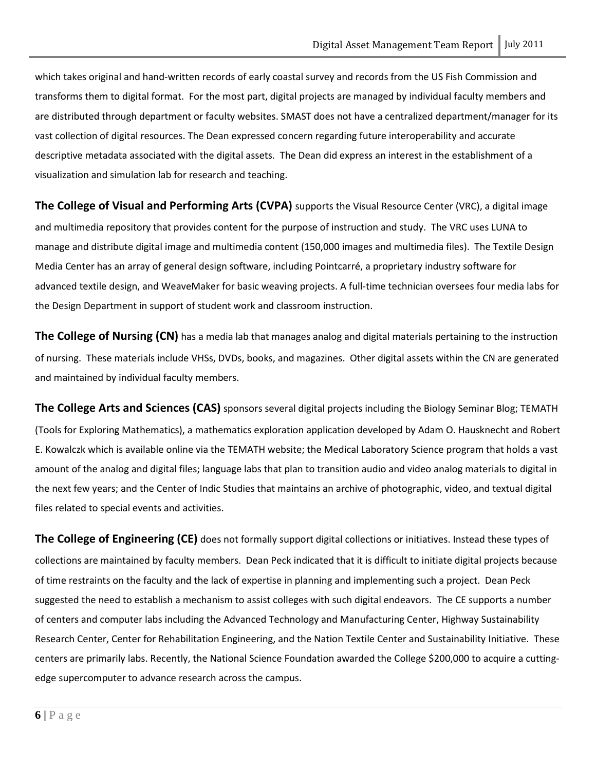which takes original and hand-written records of early coastal survey and records from the US Fish Commission and transforms them to digital format. For the most part, digital projects are managed by individual faculty members and are distributed through department or faculty websites. SMAST does not have a centralized department/manager for its vast collection of digital resources. The Dean expressed concern regarding future interoperability and accurate descriptive metadata associated with the digital assets. The Dean did express an interest in the establishment of a visualization and simulation lab for research and teaching.

<span id="page-6-0"></span>**The College of Visual and Performing Arts (CVPA)** supports the Visual Resource Center (VRC), a digital image and multimedia repository that provides content for the purpose of instruction and study. The VRC uses LUNA to manage and distribute digital image and multimedia content (150,000 images and multimedia files). The Textile Design Media Center has an array of general design software, including Pointcarré, a proprietary industry software for advanced textile design, and WeaveMaker for basic weaving projects. A full-time technician oversees four media labs for the Design Department in support of student work and classroom instruction.

<span id="page-6-1"></span>**The College of Nursing (CN)** has a media lab that manages analog and digital materials pertaining to the instruction of nursing. These materials include VHSs, DVDs, books, and magazines. Other digital assets within the CN are generated and maintained by individual faculty members.

<span id="page-6-2"></span>**The College Arts and Sciences (CAS)** sponsors several digital projects including the Biology Seminar Blog; TEMATH (Tools for Exploring Mathematics), a mathematics exploration application developed by Adam O. Hausknecht and Robert E. Kowalczk which is available online via the TEMATH website; the Medical Laboratory Science program that holds a vast amount of the analog and digital files; language labs that plan to transition audio and video analog materials to digital in the next few years; and the Center of Indic Studies that maintains an archive of photographic, video, and textual digital files related to special events and activities.

<span id="page-6-3"></span>**The College of Engineering (CE)** does not formally support digital collections or initiatives. Instead these types of collections are maintained by faculty members. Dean Peck indicated that it is difficult to initiate digital projects because of time restraints on the faculty and the lack of expertise in planning and implementing such a project. Dean Peck suggested the need to establish a mechanism to assist colleges with such digital endeavors. The CE supports a number of centers and computer labs including the Advanced Technology and Manufacturing Center, Highway Sustainability Research Center, Center for Rehabilitation Engineering, and the Nation Textile Center and Sustainability Initiative. These centers are primarily labs. Recently, the National Science Foundation awarded the College \$200,000 to acquire a cuttingedge supercomputer to advance research across the campus.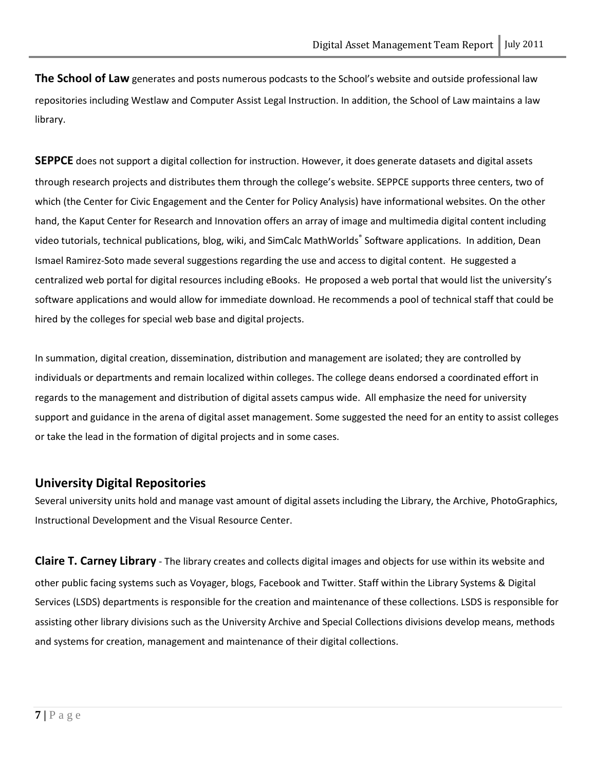<span id="page-7-0"></span>**The School of Law** generates and posts numerous podcasts to the School's website and outside professional law repositories including Westlaw and Computer Assist Legal Instruction. In addition, the School of Law maintains a law library.

<span id="page-7-1"></span>**SEPPCE** does not support a digital collection for instruction. However, it does generate datasets and digital assets through research projects and distributes them through the college's website. SEPPCE supports three centers, two of which (the Center for Civic Engagement and the Center for Policy Analysis) have informational websites. On the other hand, the Kaput Center for Research and Innovation offers an array of image and multimedia digital content including video tutorials, technical publications, blog, wiki, and SimCalc MathWorlds® Software applications. In addition, Dean Ismael Ramirez-Soto made several suggestions regarding the use and access to digital content. He suggested a centralized web portal for digital resources including eBooks. He proposed a web portal that would list the university's software applications and would allow for immediate download. He recommends a pool of technical staff that could be hired by the colleges for special web base and digital projects.

In summation, digital creation, dissemination, distribution and management are isolated; they are controlled by individuals or departments and remain localized within colleges. The college deans endorsed a coordinated effort in regards to the management and distribution of digital assets campus wide. All emphasize the need for university support and guidance in the arena of digital asset management. Some suggested the need for an entity to assist colleges or take the lead in the formation of digital projects and in some cases.

## <span id="page-7-2"></span>**University Digital Repositories**

Several university units hold and manage vast amount of digital assets including the Library, the Archive, PhotoGraphics, Instructional Development and the Visual Resource Center.

<span id="page-7-3"></span>**Claire T. Carney Library** - The library creates and collects digital images and objects for use within its website and other public facing systems such as Voyager, blogs, Facebook and Twitter. Staff within the Library Systems & Digital Services (LSDS) departments is responsible for the creation and maintenance of these collections. LSDS is responsible for assisting other library divisions such as the University Archive and Special Collections divisions develop means, methods and systems for creation, management and maintenance of their digital collections.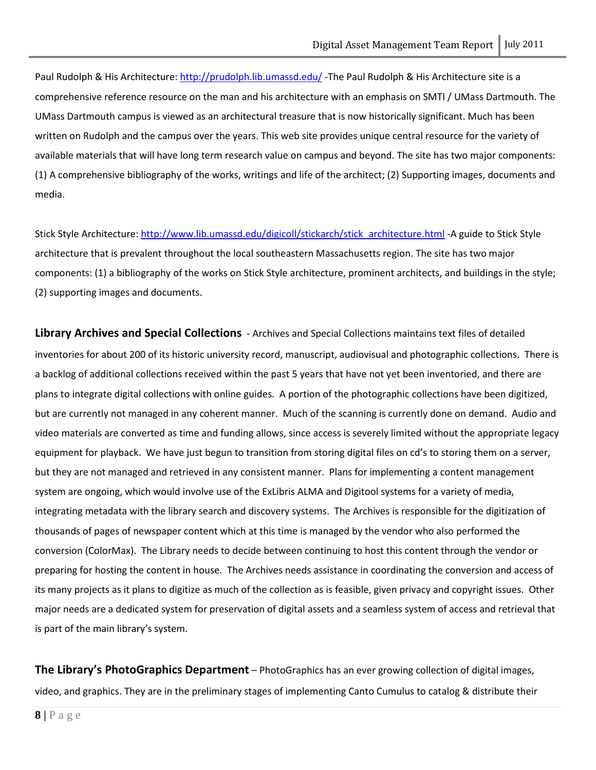Paul Rudolph & His Architecture:<http://prudolph.lib.umassd.edu/> -The Paul Rudolph & His Architecture site is a comprehensive reference resource on the man and his architecture with an emphasis on SMTI / UMass Dartmouth. The UMass Dartmouth campus is viewed as an architectural treasure that is now historically significant. Much has been written on Rudolph and the campus over the years. This web site provides unique central resource for the variety of available materials that will have long term research value on campus and beyond. The site has two major components: (1) A comprehensive bibliography of the works, writings and life of the architect; (2) Supporting images, documents and media.

Stick Style Architecture: [http://www.lib.umassd.edu/digicoll/stickarch/stick\\_architecture.html](http://www.lib.umassd.edu/digicoll/stickarch/stick_architecture.html) -A guide to Stick Style architecture that is prevalent throughout the local southeastern Massachusetts region. The site has two major components: (1) a bibliography of the works on Stick Style architecture, prominent architects, and buildings in the style; (2) supporting images and documents.

<span id="page-8-0"></span>**Library Archives and Special Collections** - Archives and Special Collections maintains text files of detailed inventories for about 200 of its historic university record, manuscript, audiovisual and photographic collections. There is a backlog of additional collections received within the past 5 years that have not yet been inventoried, and there are plans to integrate digital collections with online guides. A portion of the photographic collections have been digitized, but are currently not managed in any coherent manner. Much of the scanning is currently done on demand. Audio and video materials are converted as time and funding allows, since access is severely limited without the appropriate legacy equipment for playback. We have just begun to transition from storing digital files on cd's to storing them on a server, but they are not managed and retrieved in any consistent manner. Plans for implementing a content management system are ongoing, which would involve use of the ExLibris ALMA and Digitool systems for a variety of media, integrating metadata with the library search and discovery systems. The Archives is responsible for the digitization of thousands of pages of newspaper content which at this time is managed by the vendor who also performed the conversion (ColorMax). The Library needs to decide between continuing to host this content through the vendor or preparing for hosting the content in house. The Archives needs assistance in coordinating the conversion and access of its many projects as it plans to digitize as much of the collection as is feasible, given privacy and copyright issues. Other major needs are a dedicated system for preservation of digital assets and a seamless system of access and retrieval that is part of the main library's system.

<span id="page-8-1"></span>**The Library's PhotoGraphics Department** – PhotoGraphics has an ever growing collection of digital images, video, and graphics. They are in the preliminary stages of implementing Canto Cumulus to catalog & distribute their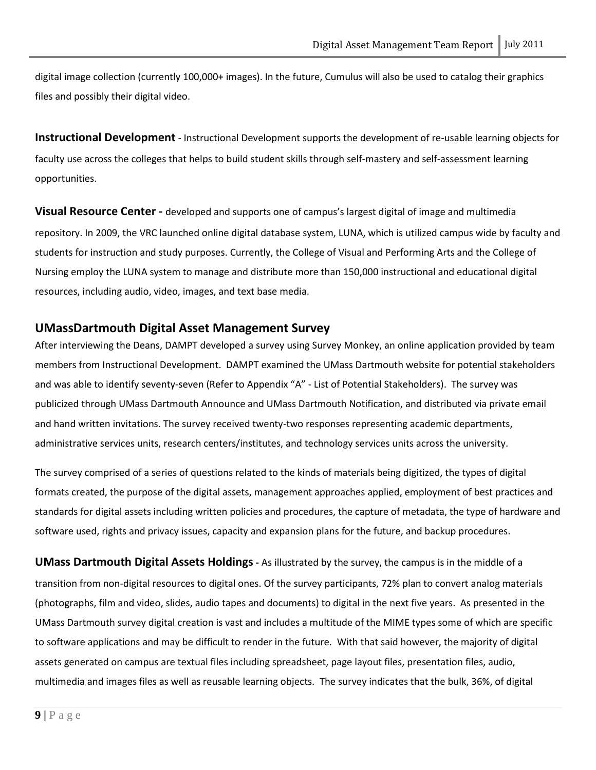digital image collection (currently 100,000+ images). In the future, Cumulus will also be used to catalog their graphics files and possibly their digital video.

<span id="page-9-0"></span>**Instructional Development** - Instructional Development supports the development of re-usable learning objects for faculty use across the colleges that helps to build student skills through self-mastery and self-assessment learning opportunities.

<span id="page-9-1"></span>**Visual Resource Center -** developed and supports one of campus's largest digital of image and multimedia repository. In 2009, the VRC launched online digital database system, LUNA, which is utilized campus wide by faculty and students for instruction and study purposes. Currently, the College of Visual and Performing Arts and the College of Nursing employ the LUNA system to manage and distribute more than 150,000 instructional and educational digital resources, including audio, video, images, and text base media.

## <span id="page-9-2"></span>**UMassDartmouth Digital Asset Management Survey**

After interviewing the Deans, DAMPT developed a survey using Survey Monkey, an online application provided by team members from Instructional Development. DAMPT examined the UMass Dartmouth website for potential stakeholders and was able to identify seventy-seven (Refer to Appendix "A" - List of Potential Stakeholders). The survey was publicized through UMass Dartmouth Announce and UMass Dartmouth Notification, and distributed via private email and hand written invitations. The survey received twenty-two responses representing academic departments, administrative services units, research centers/institutes, and technology services units across the university.

The survey comprised of a series of questions related to the kinds of materials being digitized, the types of digital formats created, the purpose of the digital assets, management approaches applied, employment of best practices and standards for digital assets including written policies and procedures, the capture of metadata, the type of hardware and software used, rights and privacy issues, capacity and expansion plans for the future, and backup procedures.

<span id="page-9-3"></span>**UMass Dartmouth Digital Assets Holdings-** As illustrated by the survey, the campus is in the middle of a transition from non-digital resources to digital ones. Of the survey participants, 72% plan to convert analog materials (photographs, film and video, slides, audio tapes and documents) to digital in the next five years. As presented in the UMass Dartmouth survey digital creation is vast and includes a multitude of the MIME types some of which are specific to software applications and may be difficult to render in the future. With that said however, the majority of digital assets generated on campus are textual files including spreadsheet, page layout files, presentation files, audio, multimedia and images files as well as reusable learning objects. The survey indicates that the bulk, 36%, of digital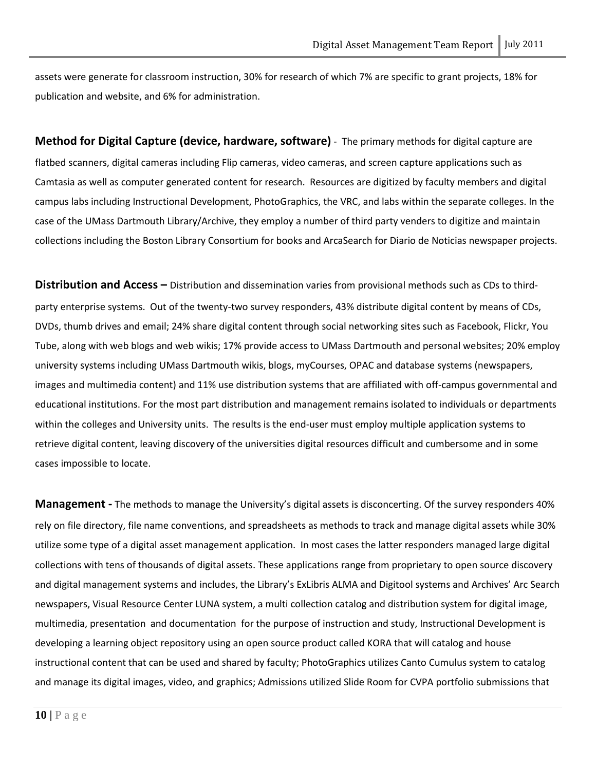assets were generate for classroom instruction, 30% for research of which 7% are specific to grant projects, 18% for publication and website, and 6% for administration.

<span id="page-10-0"></span>**Method for Digital Capture (device, hardware, software)** - The primary methods for digital capture are flatbed scanners, digital cameras including Flip cameras, video cameras, and screen capture applications such as Camtasia as well as computer generated content for research. Resources are digitized by faculty members and digital campus labs including Instructional Development, PhotoGraphics, the VRC, and labs within the separate colleges. In the case of the UMass Dartmouth Library/Archive, they employ a number of third party venders to digitize and maintain collections including the Boston Library Consortium for books and ArcaSearch for Diario de Noticias newspaper projects.

<span id="page-10-1"></span>**Distribution and Access –** Distribution and dissemination varies from provisional methods such as CDs to thirdparty enterprise systems. Out of the twenty-two survey responders, 43% distribute digital content by means of CDs, DVDs, thumb drives and email; 24% share digital content through social networking sites such as Facebook, Flickr, You Tube, along with web blogs and web wikis; 17% provide access to UMass Dartmouth and personal websites; 20% employ university systems including UMass Dartmouth wikis, blogs, myCourses, OPAC and database systems (newspapers, images and multimedia content) and 11% use distribution systems that are affiliated with off-campus governmental and educational institutions. For the most part distribution and management remains isolated to individuals or departments within the colleges and University units. The results is the end-user must employ multiple application systems to retrieve digital content, leaving discovery of the universities digital resources difficult and cumbersome and in some cases impossible to locate.

**Management -** The methods to manage the University's digital assets is disconcerting. Of the survey responders 40% rely on file directory, file name conventions, and spreadsheets as methods to track and manage digital assets while 30% utilize some type of a digital asset management application. In most cases the latter responders managed large digital collections with tens of thousands of digital assets. These applications range from proprietary to open source discovery and digital management systems and includes, the Library's ExLibris ALMA and Digitool systems and Archives' Arc Search newspapers, Visual Resource Center LUNA system, a multi collection catalog and distribution system for digital image, multimedia, presentation and documentation for the purpose of instruction and study, Instructional Development is developing a learning object repository using an open source product called KORA that will catalog and house instructional content that can be used and shared by faculty; PhotoGraphics utilizes Canto Cumulus system to catalog and manage its digital images, video, and graphics; Admissions utilized Slide Room for CVPA portfolio submissions that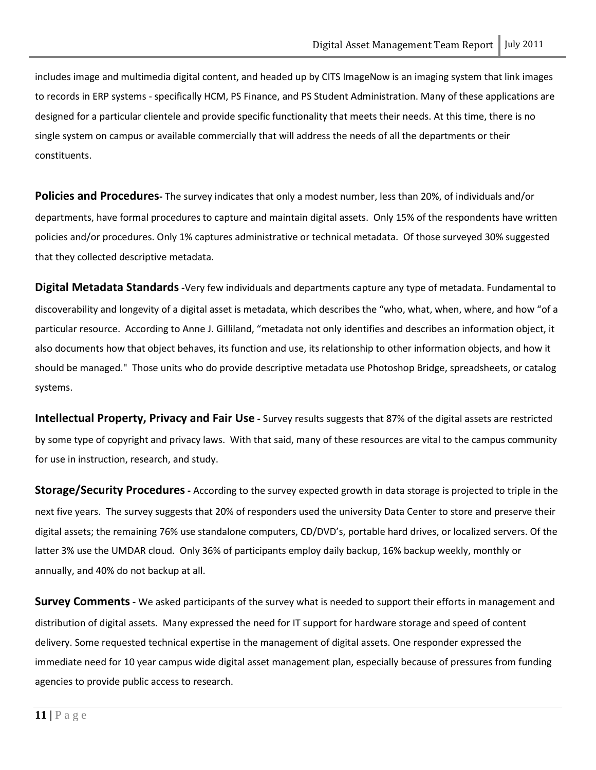includes image and multimedia digital content, and headed up by CITS ImageNow is an imaging system that link images to records in ERP systems - specifically HCM, PS Finance, and PS Student Administration. Many of these applications are designed for a particular clientele and provide specific functionality that meets their needs. At this time, there is no single system on campus or available commercially that will address the needs of all the departments or their constituents.

<span id="page-11-0"></span>**Policies and Procedures-** The survey indicates that only a modest number, less than 20%, of individuals and/or departments, have formal procedures to capture and maintain digital assets. Only 15% of the respondents have written policies and/or procedures. Only 1% captures administrative or technical metadata. Of those surveyed 30% suggested that they collected descriptive metadata.

<span id="page-11-1"></span>**Digital Metadata Standards-**Very few individuals and departments capture any type of metadata. Fundamental to discoverability and longevity of a digital asset is metadata, which describes the "who, what, when, where, and how "of a particular resource. According to Anne J. Gilliland, "metadata not only identifies and describes an information object, it also documents how that object behaves, its function and use, its relationship to other information objects, and how it should be managed." Those units who do provide descriptive metadata use Photoshop Bridge, spreadsheets, or catalog systems.

<span id="page-11-2"></span>**Intellectual Property, Privacy and Fair Use -** Survey results suggests that 87% of the digital assets are restricted by some type of copyright and privacy laws. With that said, many of these resources are vital to the campus community for use in instruction, research, and study.

<span id="page-11-3"></span>**Storage/Security Procedures-** According to the survey expected growth in data storage is projected to triple in the next five years. The survey suggests that 20% of responders used the university Data Center to store and preserve their digital assets; the remaining 76% use standalone computers, CD/DVD's, portable hard drives, or localized servers. Of the latter 3% use the UMDAR cloud. Only 36% of participants employ daily backup, 16% backup weekly, monthly or annually, and 40% do not backup at all.

<span id="page-11-4"></span>**Survey Comments** - We asked participants of the survey what is needed to support their efforts in management and distribution of digital assets. Many expressed the need for IT support for hardware storage and speed of content delivery. Some requested technical expertise in the management of digital assets. One responder expressed the immediate need for 10 year campus wide digital asset management plan, especially because of pressures from funding agencies to provide public access to research.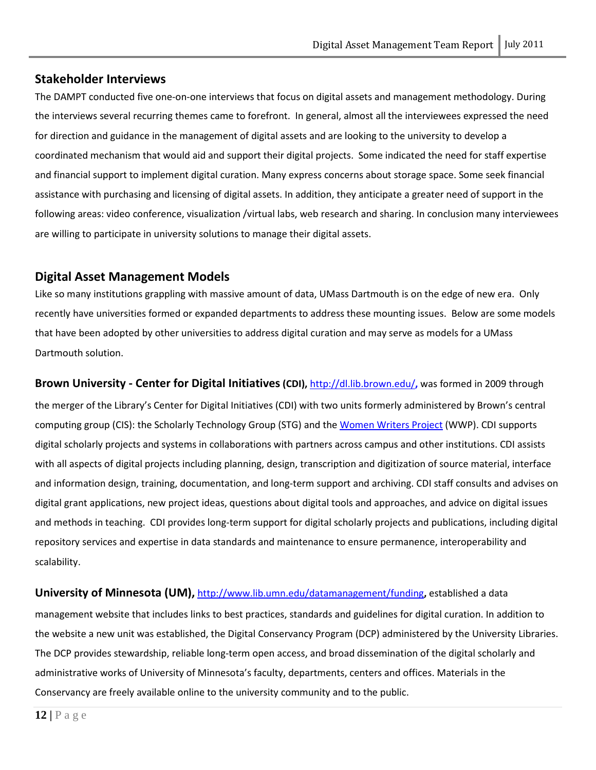# <span id="page-12-0"></span>**Stakeholder Interviews**

The DAMPT conducted five one-on-one interviews that focus on digital assets and management methodology. During the interviews several recurring themes came to forefront. In general, almost all the interviewees expressed the need for direction and guidance in the management of digital assets and are looking to the university to develop a coordinated mechanism that would aid and support their digital projects. Some indicated the need for staff expertise and financial support to implement digital curation. Many express concerns about storage space. Some seek financial assistance with purchasing and licensing of digital assets. In addition, they anticipate a greater need of support in the following areas: video conference, visualization /virtual labs, web research and sharing. In conclusion many interviewees are willing to participate in university solutions to manage their digital assets.

# <span id="page-12-1"></span>**Digital Asset Management Models**

Like so many institutions grappling with massive amount of data, UMass Dartmouth is on the edge of new era. Only recently have universities formed or expanded departments to address these mounting issues. Below are some models that have been adopted by other universities to address digital curation and may serve as models for a UMass Dartmouth solution.

<span id="page-12-2"></span>**Brown University - Center for Digital Initiatives(CDI),** <http://dl.lib.brown.edu/>**,** was formed in 2009 through the merger of the Library's Center for Digital Initiatives (CDI) with two units formerly administered by Brown's central computing group (CIS): the Scholarly Technology Group (STG) and the [Women Writers Project](http://www.wwp.brown.edu/) (WWP). CDI supports digital scholarly projects and systems in collaborations with partners across campus and other institutions. CDI assists with all aspects of digital projects including planning, design, transcription and digitization of source material, interface and information design, training, documentation, and long-term support and archiving. CDI staff consults and advises on digital grant applications, new project ideas, questions about digital tools and approaches, and advice on digital issues and methods in teaching. CDI provides long-term support for digital scholarly projects and publications, including digital repository services and expertise in data standards and maintenance to ensure permanence, interoperability and scalability.

<span id="page-12-3"></span>**University of Minnesota (UM),** <http://www.lib.umn.edu/datamanagement/funding>**,** established a data management website that includes links to best practices, standards and guidelines for digital curation. In addition to the website a new unit was established, the Digital Conservancy Program (DCP) administered by the University Libraries. The DCP provides stewardship, reliable long-term open access, and broad dissemination of the digital scholarly and administrative works of University of Minnesota's faculty, departments, centers and offices. Materials in the Conservancy are freely available online to the university community and to the public.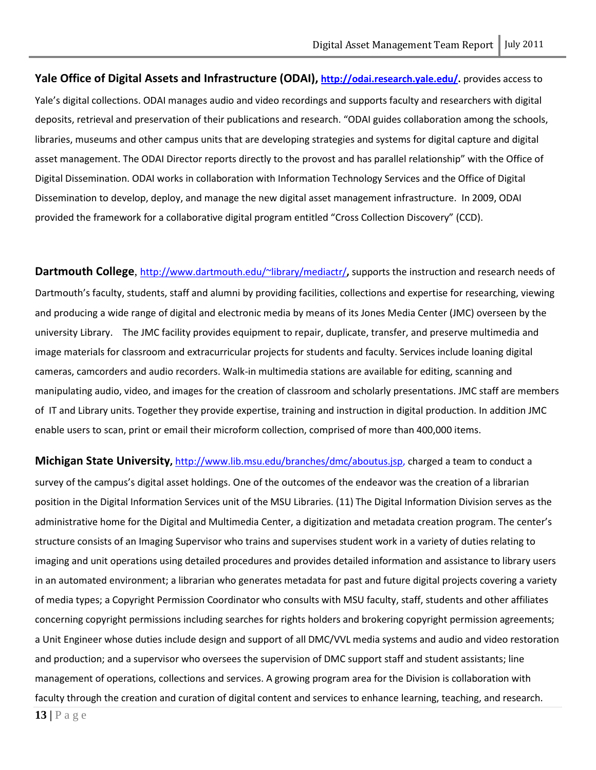<span id="page-13-0"></span>**Yale Office of Digital Assets and Infrastructure (ODAI), [http://odai.research.yale.edu/.](http://odai.research.yale.edu/)** provides access to Yale's digital collections. ODAI manages audio and video recordings and supports faculty and researchers with digital deposits, retrieval and preservation of their publications and research. "ODAI guides collaboration among the schools, libraries, museums and other campus units that are developing strategies and systems for digital capture and digital asset management. The ODAI Director reports directly to the provost and has parallel relationship" with the Office of Digital Dissemination. ODAI works in collaboration with Information Technology Services and the Office of Digital Dissemination to develop, deploy, and manage the new digital asset management infrastructure. In 2009, ODAI provided the framework for a collaborative digital program entitled "Cross Collection Discovery" (CCD).

<span id="page-13-1"></span>Dartmouth College, <http://www.dartmouth.edu/~library/mediactr/>, supports the instruction and research needs of Dartmouth's faculty, students, staff and alumni by providing facilities, collections and expertise for researching, viewing and producing a wide range of digital and electronic media by means of its Jones Media Center (JMC) overseen by the university Library. The JMC facility provides equipment to repair, duplicate, transfer, and preserve multimedia and image materials for classroom and extracurricular projects for students and faculty. Services include loaning digital cameras, camcorders and audio recorders. Walk-in multimedia stations are available for editing, scanning and manipulating audio, video, and images for the creation of classroom and scholarly presentations. JMC staff are members of IT and Library units. Together they provide expertise, training and instruction in digital production. In addition JMC enable users to scan, print or email their microform collection, comprised of more than 400,000 items.

<span id="page-13-2"></span>**Michigan State University,** [http://www.lib.msu.edu/branches/dmc/aboutus.jsp,](http://www.lib.msu.edu/branches/dmc/aboutus.jsp) charged a team to conduct a survey of the campus's digital asset holdings. One of the outcomes of the endeavor was the creation of a librarian position in the Digital Information Services unit of the MSU Libraries. (11) The Digital Information Division serves as the administrative home for the Digital and Multimedia Center, a digitization and metadata creation program. The center's structure consists of an Imaging Supervisor who trains and supervises student work in a variety of duties relating to imaging and unit operations using detailed procedures and provides detailed information and assistance to library users in an automated environment; a librarian who generates metadata for past and future digital projects covering a variety of media types; a Copyright Permission Coordinator who consults with MSU faculty, staff, students and other affiliates concerning copyright permissions including searches for rights holders and brokering copyright permission agreements; a Unit Engineer whose duties include design and support of all DMC/VVL media systems and audio and video restoration and production; and a supervisor who oversees the supervision of DMC support staff and student assistants; line management of operations, collections and services. A growing program area for the Division is collaboration with faculty through the creation and curation of digital content and services to enhance learning, teaching, and research.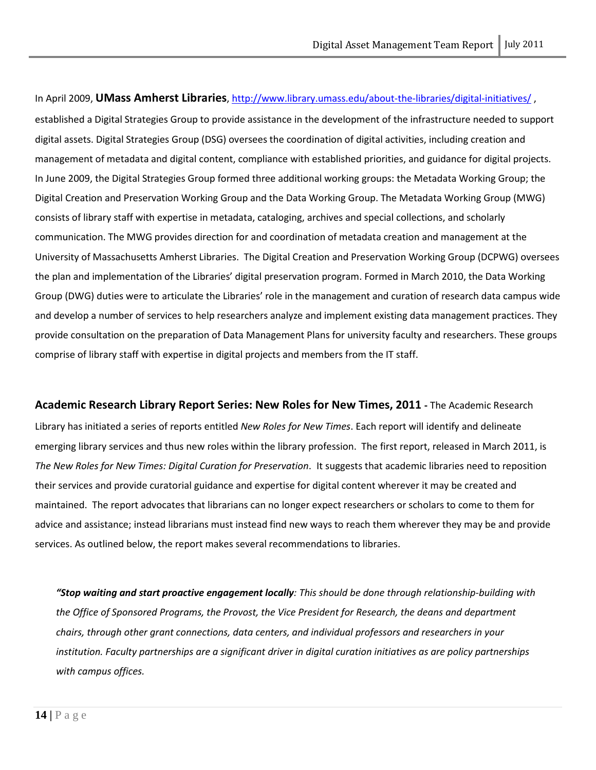In April 2009, **UMass Amherst Libraries**,<http://www.library.umass.edu/about-the-libraries/digital-initiatives/> , established a Digital Strategies Group to provide assistance in the development of the infrastructure needed to support digital assets. Digital Strategies Group (DSG) oversees the coordination of digital activities, including creation and management of metadata and digital content, compliance with established priorities, and guidance for digital projects. In June 2009, the Digital Strategies Group formed three additional working groups: the Metadata Working Group; the Digital Creation and Preservation Working Group and the Data Working Group. The Metadata Working Group (MWG) consists of library staff with expertise in metadata, cataloging, archives and special collections, and scholarly communication. The MWG provides direction for and coordination of metadata creation and management at the University of Massachusetts Amherst Libraries. The Digital Creation and Preservation Working Group (DCPWG) oversees the plan and implementation of the Libraries' digital preservation program. Formed in March 2010, the Data Working Group (DWG) duties were to articulate the Libraries' role in the management and curation of research data campus wide and develop a number of services to help researchers analyze and implement existing data management practices. They provide consultation on the preparation of Data Management Plans for university faculty and researchers. These groups comprise of library staff with expertise in digital projects and members from the IT staff.

<span id="page-14-0"></span>**Academic Research Library Report Series: New Roles for New Times, 2011 -** The Academic Research

Library has initiated a series of reports entitled *New Roles for New Times*. Each report will identify and delineate emerging library services and thus new roles within the library profession. The first report, released in March 2011, is *The New Roles for New Times: Digital Curation for Preservation*. It suggests that academic libraries need to reposition their services and provide curatorial guidance and expertise for digital content wherever it may be created and maintained. The report advocates that librarians can no longer expect researchers or scholars to come to them for advice and assistance; instead librarians must instead find new ways to reach them wherever they may be and provide services. As outlined below, the report makes several recommendations to libraries.

*"Stop waiting and start proactive engagement locally: This should be done through relationship-building with the Office of Sponsored Programs, the Provost, the Vice President for Research, the deans and department chairs, through other grant connections, data centers, and individual professors and researchers in your institution. Faculty partnerships are a significant driver in digital curation initiatives as are policy partnerships with campus offices.*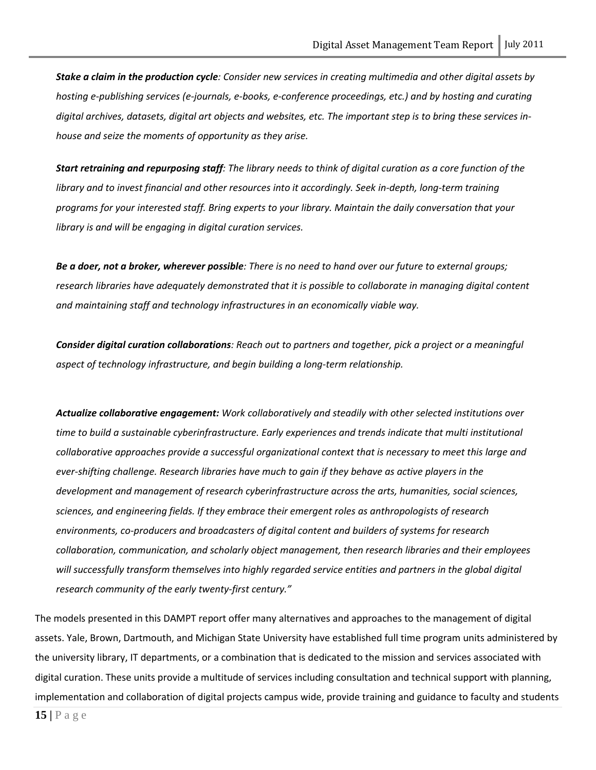*Stake a claim in the production cycle: Consider new services in creating multimedia and other digital assets by hosting e-publishing services (e-journals, e-books, e-conference proceedings, etc.) and by hosting and curating digital archives, datasets, digital art objects and websites, etc. The important step is to bring these services inhouse and seize the moments of opportunity as they arise.*

*Start retraining and repurposing staff: The library needs to think of digital curation as a core function of the library and to invest financial and other resources into it accordingly. Seek in-depth, long-term training programs for your interested staff. Bring experts to your library. Maintain the daily conversation that your library is and will be engaging in digital curation services.*

*Be a doer, not a broker, wherever possible: There is no need to hand over our future to external groups; research libraries have adequately demonstrated that it is possible to collaborate in managing digital content and maintaining staff and technology infrastructures in an economically viable way.*

*Consider digital curation collaborations: Reach out to partners and together, pick a project or a meaningful aspect of technology infrastructure, and begin building a long-term relationship.*

*Actualize collaborative engagement: Work collaboratively and steadily with other selected institutions over time to build a sustainable cyberinfrastructure. Early experiences and trends indicate that multi institutional collaborative approaches provide a successful organizational context that is necessary to meet this large and ever-shifting challenge. Research libraries have much to gain if they behave as active players in the development and management of research cyberinfrastructure across the arts, humanities, social sciences, sciences, and engineering fields. If they embrace their emergent roles as anthropologists of research environments, co-producers and broadcasters of digital content and builders of systems for research collaboration, communication, and scholarly object management, then research libraries and their employees*  will successfully transform themselves into highly regarded service entities and partners in the global digital *research community of the early twenty-first century."*

The models presented in this DAMPT report offer many alternatives and approaches to the management of digital assets. Yale, Brown, Dartmouth, and Michigan State University have established full time program units administered by the university library, IT departments, or a combination that is dedicated to the mission and services associated with digital curation. These units provide a multitude of services including consultation and technical support with planning, implementation and collaboration of digital projects campus wide, provide training and guidance to faculty and students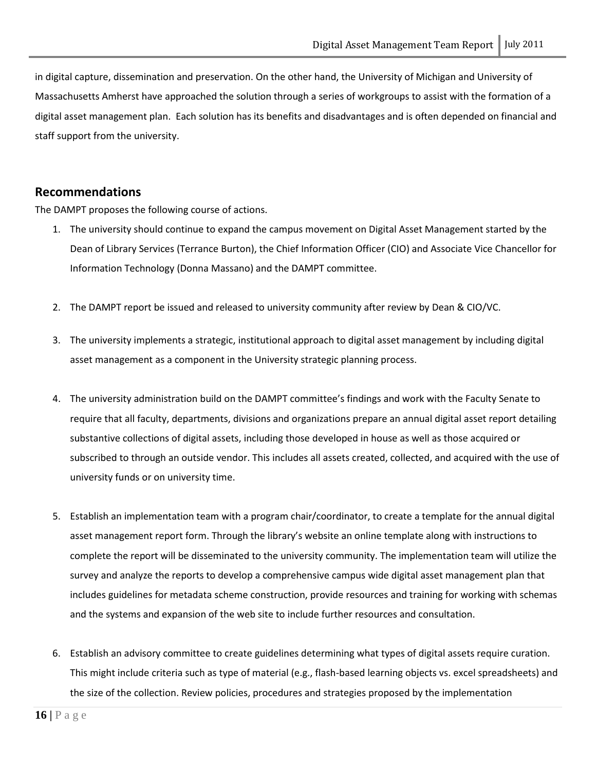in digital capture, dissemination and preservation. On the other hand, the University of Michigan and University of Massachusetts Amherst have approached the solution through a series of workgroups to assist with the formation of a digital asset management plan. Each solution has its benefits and disadvantages and is often depended on financial and staff support from the university.

#### <span id="page-16-0"></span>**Recommendations**

The DAMPT proposes the following course of actions.

- 1. The university should continue to expand the campus movement on Digital Asset Management started by the Dean of Library Services (Terrance Burton), the Chief Information Officer (CIO) and Associate Vice Chancellor for Information Technology (Donna Massano) and the DAMPT committee.
- 2. The DAMPT report be issued and released to university community after review by Dean & CIO/VC.
- 3. The university implements a strategic, institutional approach to digital asset management by including digital asset management as a component in the University strategic planning process.
- 4. The university administration build on the DAMPT committee's findings and work with the Faculty Senate to require that all faculty, departments, divisions and organizations prepare an annual digital asset report detailing substantive collections of digital assets, including those developed in house as well as those acquired or subscribed to through an outside vendor. This includes all assets created, collected, and acquired with the use of university funds or on university time.
- 5. Establish an implementation team with a program chair/coordinator, to create a template for the annual digital asset management report form. Through the library's website an online template along with instructions to complete the report will be disseminated to the university community. The implementation team will utilize the survey and analyze the reports to develop a comprehensive campus wide digital asset management plan that includes guidelines for metadata scheme construction, provide resources and training for working with schemas and the systems and expansion of the web site to include further resources and consultation.
- 6. Establish an advisory committee to create guidelines determining what types of digital assets require curation. This might include criteria such as type of material (e.g., flash-based learning objects vs. excel spreadsheets) and the size of the collection. Review policies, procedures and strategies proposed by the implementation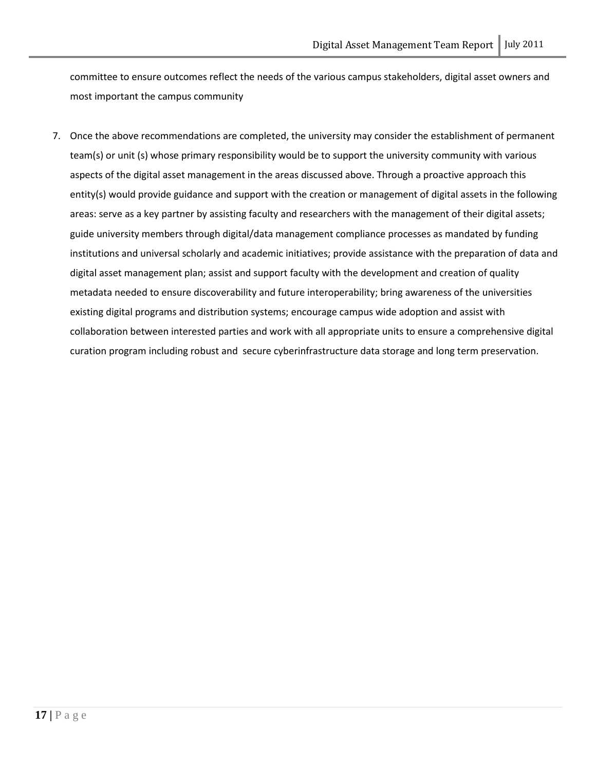committee to ensure outcomes reflect the needs of the various campus stakeholders, digital asset owners and most important the campus community

7. Once the above recommendations are completed, the university may consider the establishment of permanent team(s) or unit (s) whose primary responsibility would be to support the university community with various aspects of the digital asset management in the areas discussed above. Through a proactive approach this entity(s) would provide guidance and support with the creation or management of digital assets in the following areas: serve as a key partner by assisting faculty and researchers with the management of their digital assets; guide university members through digital/data management compliance processes as mandated by funding institutions and universal scholarly and academic initiatives; provide assistance with the preparation of data and digital asset management plan; assist and support faculty with the development and creation of quality metadata needed to ensure discoverability and future interoperability; bring awareness of the universities existing digital programs and distribution systems; encourage campus wide adoption and assist with collaboration between interested parties and work with all appropriate units to ensure a comprehensive digital curation program including robust and secure cyberinfrastructure data storage and long term preservation.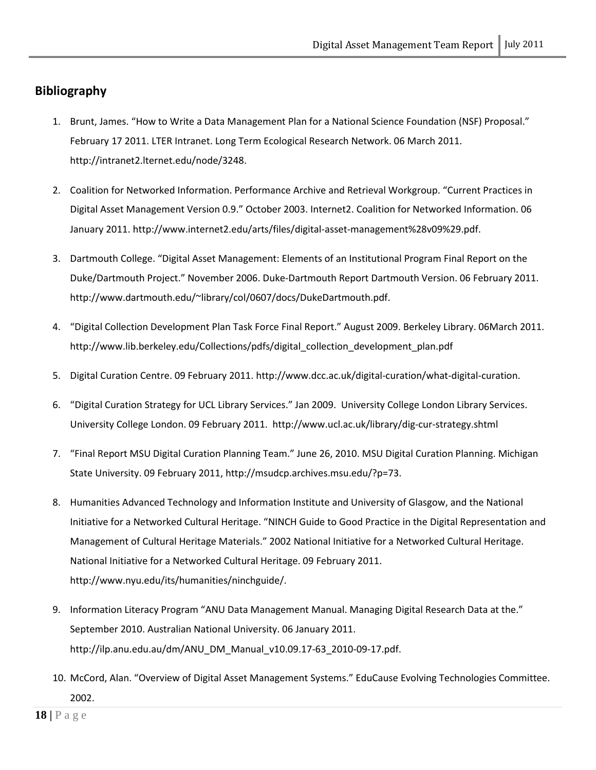# <span id="page-18-0"></span>**Bibliography**

- 1. Brunt, James. "How to Write a Data Management Plan for a National Science Foundation (NSF) Proposal." February 17 2011. LTER Intranet. Long Term Ecological Research Network. 06 March 2011. http://intranet2.lternet.edu/node/3248.
- 2. Coalition for Networked Information. Performance Archive and Retrieval Workgroup. "Current Practices in Digital Asset Management Version 0.9." October 2003. Internet2. Coalition for Networked Information. 06 January 2011. http://www.internet2.edu/arts/files/digital-asset-management%28v09%29.pdf.
- 3. Dartmouth College. "Digital Asset Management: Elements of an Institutional Program Final Report on the Duke/Dartmouth Project." November 2006. Duke-Dartmouth Report Dartmouth Version. 06 February 2011. http://www.dartmouth.edu/~library/col/0607/docs/DukeDartmouth.pdf.
- 4. "Digital Collection Development Plan Task Force Final Report." August 2009. Berkeley Library. 06March 2011. http://www.lib.berkeley.edu/Collections/pdfs/digital\_collection\_development\_plan.pdf
- 5. Digital Curation Centre. 09 February 2011. http://www.dcc.ac.uk/digital-curation/what-digital-curation.
- 6. "Digital Curation Strategy for UCL Library Services." Jan 2009. University College London Library Services. University College London. 09 February 2011. http://www.ucl.ac.uk/library/dig-cur-strategy.shtml
- 7. "Final Report MSU Digital Curation Planning Team." June 26, 2010. MSU Digital Curation Planning. Michigan State University. 09 February 2011, http://msudcp.archives.msu.edu/?p=73.
- 8. Humanities Advanced Technology and Information Institute and University of Glasgow, and the National Initiative for a Networked Cultural Heritage. "NINCH Guide to Good Practice in the Digital Representation and Management of Cultural Heritage Materials." 2002 National Initiative for a Networked Cultural Heritage. National Initiative for a Networked Cultural Heritage. 09 February 2011. http://www.nyu.edu/its/humanities/ninchguide/.
- 9. Information Literacy Program "ANU Data Management Manual. Managing Digital Research Data at the." September 2010. Australian National University. 06 January 2011. http://ilp.anu.edu.au/dm/ANU\_DM\_Manual\_v10.09.17-63\_2010-09-17.pdf.
- 10. McCord, Alan. "Overview of Digital Asset Management Systems." EduCause Evolving Technologies Committee. 2002.